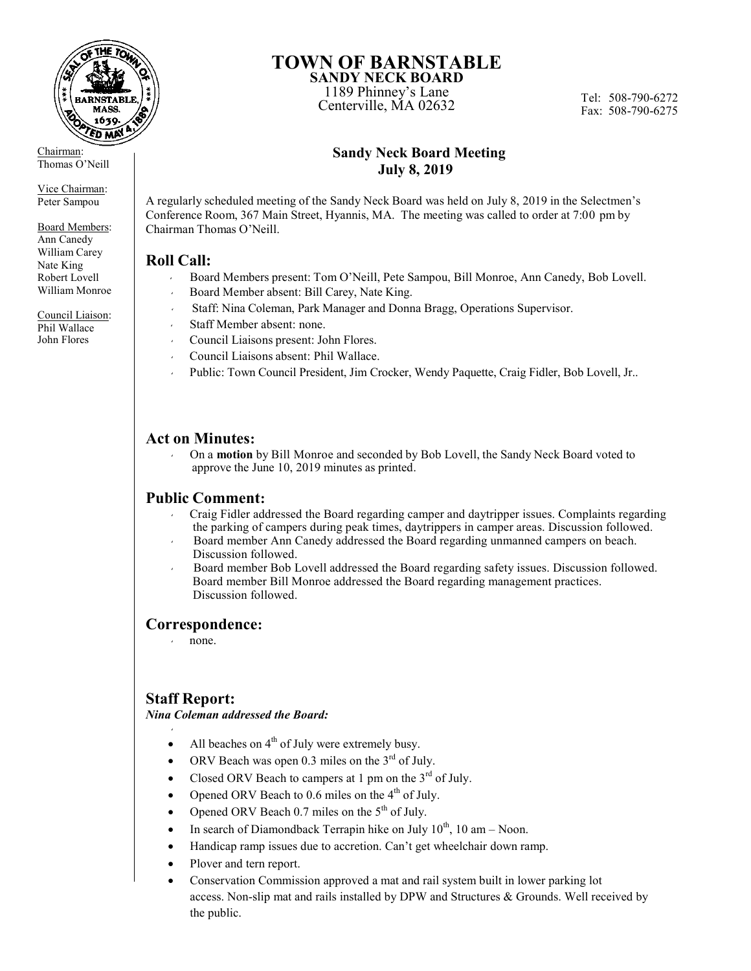

Chairman: Thomas O'Neill

Vice Chairman: Peter Sampou

Board Members: Ann Canedy William Carey Nate King Robert Lovell William Monroe

Council Liaison: Phil Wallace John Flores

# **TOWN OF BARNSTABLE**

**SANDY NECK BOARD** 1189 Phinney's Lane The Thinney's Lane<br>Centerville, MA 02632<br>Fox: 508.790.6275

Fax: 508-790-6275

# **Sandy Neck Board Meeting July 8, 2019**

A regularly scheduled meeting of the Sandy Neck Board was held on July 8, 2019 in the Selectmen's Conference Room, 367 Main Street, Hyannis, MA. The meeting was called to order at 7:00 pm by Chairman Thomas O'Neill.

# **Roll Call:**

- Board Members present: Tom O'Neill, Pete Sampou, Bill Monroe, Ann Canedy, Bob Lovell.
- Board Member absent: Bill Carey, Nate King.
- Staff: Nina Coleman, Park Manager and Donna Bragg, Operations Supervisor.
- Staff Member absent: none.
- Council Liaisons present: John Flores.
- Council Liaisons absent: Phil Wallace.
- Public: Town Council President, Jim Crocker, Wendy Paquette, Craig Fidler, Bob Lovell, Jr..

# **Act on Minutes:**

 On a **motion** by Bill Monroe and seconded by Bob Lovell, the Sandy Neck Board voted to approve the June 10, 2019 minutes as printed.

### **Public Comment:**

- Craig Fidler addressed the Board regarding camper and daytripper issues. Complaints regarding the parking of campers during peak times, daytrippers in camper areas. Discussion followed.
- Board member Ann Canedy addressed the Board regarding unmanned campers on beach. Discussion followed.
- Board member Bob Lovell addressed the Board regarding safety issues. Discussion followed. Board member Bill Monroe addressed the Board regarding management practices. Discussion followed.

### **Correspondence:**

none.

# **Staff Report:**

 $\mathcal{A}$ 

*Nina Coleman addressed the Board:*

- All beaches on  $4<sup>th</sup>$  of July were extremely busy.
- ORV Beach was open 0.3 miles on the 3<sup>rd</sup> of July.
- Closed ORV Beach to campers at 1 pm on the  $3^{rd}$  of July.
- Opened ORV Beach to 0.6 miles on the 4<sup>th</sup> of July.
- Opened ORV Beach 0.7 miles on the  $5<sup>th</sup>$  of July.
- In search of Diamondback Terrapin hike on July  $10^{th}$ , 10 am Noon.
- Handicap ramp issues due to accretion. Can't get wheelchair down ramp.
- Plover and tern report.
- Conservation Commission approved a mat and rail system built in lower parking lot access. Non-slip mat and rails installed by DPW and Structures & Grounds. Well received by the public.